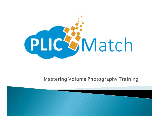

#### Mastering Volume Photography Training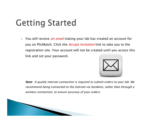# **Getting Started**

 $\blacktriangleright$ You will receive *an email* stating your lab has created an account for you on PlicMatch. Click the *Accept Invitation* link to take you to the registration site. Your account will not be created until you access this link and set your password.



Note: A quality internet connection is required to submit orders to your lab. We recommend being connected to the internet via hardwire, rather than through a wireless connection, to ensure accuracy of your orders.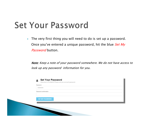#### **Set Your Password**

 $\mathbf{F}$  The very first thing you will need to do is set up a password. Once you've entered a unique password, hit the blue Set My *Password* button.

Note: Keep a note of your password somewhere. We do not have access to look up any password information for you.

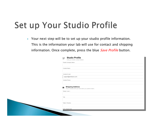# Set up Your Studio Profile

 $\blacktriangleright$  Your next step will be to set up your studio profile information. This is the information your lab will use for contact and shipping information. Once complete, press the blue *Save Profile* button.

|                        | * Studio Company Name                                                           |
|------------------------|---------------------------------------------------------------------------------|
|                        |                                                                                 |
| * Contact Name         |                                                                                 |
|                        |                                                                                 |
| * Contact E-mail       |                                                                                 |
|                        | support@photolynx.com                                                           |
| * Contact Phone        |                                                                                 |
|                        |                                                                                 |
|                        |                                                                                 |
| Δ<br>* Street / Line 1 | <b>Shipping Address</b><br>This is shared with your lab when you submit orders. |
|                        |                                                                                 |
| * City                 |                                                                                 |
|                        |                                                                                 |
| * State / Province     |                                                                                 |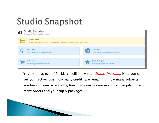## **Studio Snapshot**



▶ Your main screen of PlicMatch will show your *Studio Snapshot*. Here you can see your active jobs, how many credits are remaining, how many subjects you have in your active jobs, how many images are in your active jobs, how many orders and your top 5 packages.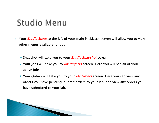#### **Studio Menu**

- ▶ ▶ Your *Studio Menu* to the left of your main PlicMatch screen will allow you to view other menus available for you:
	- ▶ Snapshot will take you to your *Studio Snapshot* screen
	- ► Your Jobs will take you to *My Projects* screen. Here you will see all of your active jobs.
	- ► Your Orders will take you to your *My Orders* screen. Here you can view any orders you have pending, submit orders to your lab, and view any orders you have submitted to your lab.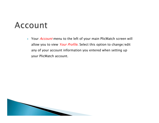#### Account

 $\blacktriangleright$ Your *Account* menu to the left of your main PlicMatch screen will allow you to view Your Profile. Select this option to change/edit any of your account information you entered when setting up your PlicMatch account.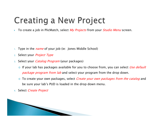## **Creating a New Project**

▶ To create a job in PlicMatch, select *My Projects* from your *Studio Menu* screen.

- 1.Type in the *name* of your job (ie: Jones Middle School)
- 2.Select your *Project Type*
- 3.Select your *Catalog Program* (your packages)
	- $\circ$  If your lab has packages available for you to choose from, you can select Use default package program from lab and select your program from the drop down.
	- To create your own packages, select *Create your own packages from the catalog* and be sure your lab's PUD is loaded in the drop down menu.
- 4. Select *Create Project*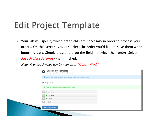# **Edit Project Template**

▶ Your lab will specify which data fields are necessary in order to process your orders. On this screen, you can select the order you'd like to have them when inputting data. Simply drag and drop the fields to select their order. Select Save Project Settings when finished.

Note: Your top 3 fields will be marked as "Primary Fields".

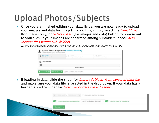# Upload Photos/Subjects

▶ Once you are finished editing your data fields, you are now ready to upload your images and data for this job. To do this, simply select the *Select Files* (for images only) or *Select Folder* (for images and data) button to browse out to your files. If your images are separated among subfolders, check *Also* include files within sub-folders.

Note: Each individual image must be a PNG or JPEG image that is no larger than 10 MB

|               |                   | 3 Upload<br>Dubrill splited mature |
|---------------|-------------------|------------------------------------|
| Upload Status |                   |                                    |
|               | No files selected |                                    |

▶ If loading in data, slide the slider for *Import Subjects from selected data file:* and make sure your data file is selected in the drop down. If your data has a header, slide the slider for *First row of data file is header* 

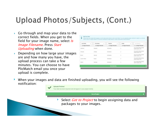## Upload Photos/Subjects, (Cont.)

- $\blacktriangleright$  Go through and map your data to the correct fields. When you get to the field for your image name, select  $\sqrt{s}$ Image Filename. Press Start Uploading when done.
- $\blacktriangleright$  Depending on how large your images are and how many you have, the upload process can take a few minutes. You can choose to have PlicMatch email you once your upload is complete.

| List Name<br>$\,$ | <b><i>Ringt Name</i></b> | Taachar<br>٠       | Grade<br>$\sim$   | Int Magazing<br>$\overline{\phantom{a}}$ |
|-------------------|--------------------------|--------------------|-------------------|------------------------------------------|
| Is image Filename | Is Inage Filename        | Is Image Filename  | Is image Filename | · Is image Filename                      |
| Guttering         | Ezequet                  | <b>McKeeban</b>    |                   | CO3 0035-00004-00006-<br>00005-00001-003 |
| Orituela          | Chettey                  | <b>Stridentian</b> | ä                 | CO3 0067-00002-00003-<br>DODG2-00003_SPG |
| Brown.            | Sarticel                 | <b>Mrideebast</b>  | ż                 | C03_0112-00007-00008-<br>00007-00003 JPG |
| Jacobi Patino     | Evelyn.                  | McKeetan           | ×                 | CO3 0247-00003-00004-<br>00003-00004 PG  |
| Metton            | Nicholas                 | <b>Mickeehan</b>   |                   | 003 0309-00005-00012-<br>00011-00005.JPG |

‣ When your images and data are finished uploading, you will see the following notification:



Select *Got to Project* to begin assigning data and packages to your images.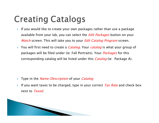## **Creating Catalogs**

- ▶ If you would like to create your own packages rather than use a package available from your lab, you can select the *Edit Packages* button on your *Match* screen. This will take you to your *Edit Catalog Program* screen.
- ▶ You will first need to create a *Catalog*. Your *catalog* is what your group of packages will be filed under (ie: Fall Portraits). Your *Packages* for this corresponding catalog will be listed under this *Catalog* (ie: Package A).

- ▶ Type in the *Name/Description* of your *Catalog*
- ▶ If you want taxes to be charged, type in your correct  $Tax$  Rate and check box next to Taxed.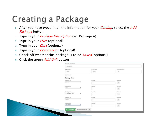## Creating a Package

- ▶ After you have typed in all the information for your *Catalog*, select the *Add* Package button.
- 1. Type in your *Package Description* (ie: Package A)
- 2. Type in your *Price* (optional)
- 3. Type in your *Cost* (optional)
- 4. Type in your *Commission* (optional)
- 5. Check off whether this package is to be *Taxed* (optional)
- <sub>6.</sub> Click the green *Add Unit* button

| Package A                      |                         |                |
|--------------------------------|-------------------------|----------------|
| Price (USD)                    | Cost (USD)              | Commission (%) |
| 50.00                          | 15.00                   | Ï              |
| $-$ Taxed                      |                         |                |
| Package Units                  |                         |                |
| Catalog Unit                   | Quantity                | Remove         |
| ٠<br>1 8x10                    | $\bar{z}$               | $\,$ $\,$ $\,$ |
| Catalog Unit                   | Quantity                | Remove         |
| $\bullet$<br>$2.5$ a 7         | $\overline{\mathbf{z}}$ | $\,$ $\,$      |
| Catalog Unit                   | Quantry                 | Remove         |
| Đ,<br>$^\star$<br>235x5&425x35 | 1                       | $\,$ $\,$      |
| Catalog Unit                   | Quantity                | Remove         |
| $\bullet$<br>10 2x 3 5         | $\tilde{z}$             | $\,$ $\,$ $\,$ |
|                                |                         |                |
| Catalog Unit                   | Quantity                | Remove         |
| 16 1 75x2 5<br>$\bullet$       |                         | $\,$ $\,$ $\,$ |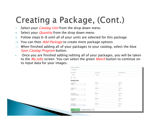# Creating a Package, (Cont.)

- 7.Select your *Catalog Unit* from the drop down menu
- 8.Select your *Quantity* from the drop down menu
- 9.Follow steps 6-8 until all of your units are selected for this package
- 10. You can then *Add Package* to create more package options
- $11$ . When finished adding all of your packages to your catalog, select the blue Save Catalag Program button.
- Ы Once you are finished adding/editing all of your packages, you will be taken to the *My Jobs* screen. You can select the green *Match* button to continue on to input data for your images.

| Package Description            |                |                    |
|--------------------------------|----------------|--------------------|
| Package A                      |                |                    |
| Price (USD)                    | Cost (USD)     | Commission (%)     |
| 50.00                          | 15.00          | $\boldsymbol{\pi}$ |
| $\rightarrow$ Taxed            |                |                    |
| Package Units                  |                |                    |
| Catalog UM                     | Quantry        | Flemove:           |
| 18x10<br>$\star$               | $\bar{z}$      | $\vert$ $\times$   |
| Catalog Unit                   | Quantzy        | Remove             |
| $^\bullet$<br>2.5x7<br>x       | $\mathbf{z}$   | $\mathbf{x}$       |
| Catalog Unit                   | Quantry        |                    |
| $\bullet$<br>23565425435       | $\lambda$      | Renové<br>x        |
| <b>Card Co</b><br>Catalog Unit | Quantity       | Remove             |
| $^\star$<br>10 2x3 5           | $\overline{z}$ | $\vert$ .          |
| Catalog Unit                   | Quantzy        | <b>Remove</b>      |
| 16 175 42 5<br>×               | 1              | $\mathbf{x}$       |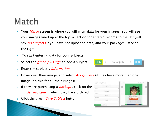# Match

- ▶ ▶ Your *Match* screen is where you will enter data for your images. You will see your images lined up at the top, a section for entered records to the left (will say *No Subjects* if you have not uploaded data) and your packages listed to the right.
- ▶ To start entering data for your subjects:
- 1.Select the *green plus sign* to add a subject
- <sub>2.</sub> Enter the subject's *information*
- <sup>3.</sup> Hover over their image, and select *Assign Pose* (if they have more than one image, do this for all their images)  $* 10.0$
- 4. If they are purchasing a *package*, click on the order package in which they have ordered
- <sub>5.</sub> Click the green *Save Subject* button



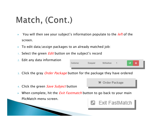# Match, (Cont.)

- $\blacktriangleright$ You will then see your subject's information populate to the *left* of the screen.
- ¥ To edit data/assign packages to an already matched job:
- 1.Select the green *Edit* button on the subject's record
- 2. Edit any data information
- <sub>3.</sub> Click the gray *Order Package* button for the package they have ordered
- 4. Click the green *Save Subject* button
- ▶ When complete, hit the *Exit Fastmatch* button to go back to your main PlicMatch menu screen.





**■** Order Package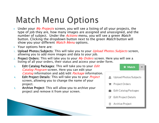## **Match Menu Options**

- $\blacktriangleright$ Under your *My Projects* screen, you will see a listing of all your projects, the type of job they are, how many images are assigned and unassigned, and the number of subject. Under the *Actions* menu, you will see a green *Match* button. Clicking the dropdown button next to the green Match button will show you your different *Match Menu* options.
- ▶ Your options here are:
- 1. Upload Photos/Subjects: This will take you to your *Upload Photos/Subjects* screen, allowing you to add more images and data to your job.
- 2. **Project Orders**: This will take you to your *My Orders* screen. Here you will see a listing of all your orders, their status and access your order form.
- Edit Catalog Packages: This will take you to your *Edit* 3.Catalog information and add/edit Package information. Catalog Program screen. Here you can edit your
- 4. project. Edit Project Details: This will take you to your *Project* screen, allowing you to change the name of your
- 5.Archive Project: This will allow you to archive your project and remove it from your screen.

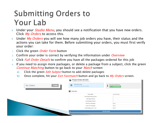#### **Submitting Orders to** Your Lab

- $\blacktriangleright$ Under your *Studio Menu*, you should see a notification that you have new orders. Click My Orders to access this.
- $\blacktriangleright$ Under  $My$  Orders you will see how many job orders you have, their status and the actions you can take for them. Before submitting your orders, you must first verify your order:
- 1.Click the green *Order Form* button
- 2.Confirm your order is correct by verifying the information under *Overview*
- 3.. Click *Full Order Details* to confirm you have all the packages ordered for this job
- 4. If you need to assign more packages, or delete a package from a subject, click the green Continue Matching button to go back to your Match screen
	- a) Click the green *Edit Subject* button to add/delete packages
	- b) Once complete, hit your *Exit Fastmatch* button and go back to *My Orders* screen.

| 1 new<br>My Orders | Order Status: New<br>This selar has not yet base autoshed.<br>$\overline{\phantom{a}}$ | Not ready to submit yet?<br>۰<br>ı<br><b>R</b> Continue Matching |
|--------------------|----------------------------------------------------------------------------------------|------------------------------------------------------------------|
|                    | Overview                                                                               |                                                                  |
|                    | Project Name                                                                           | Julian Elementary                                                |
|                    | Total Subjects Having Orders                                                           |                                                                  |
|                    | Total Images Ordered                                                                   |                                                                  |
|                    | <b>Total Packages Ordered</b>                                                          |                                                                  |
|                    | Total Price of Packages                                                                | \$80.00                                                          |
|                    | Total Cost of Packages                                                                 | 120.00                                                           |
|                    | Total Packages Price - Cost                                                            | \$60.00                                                          |
|                    |                                                                                        |                                                                  |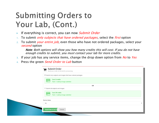#### **Submitting Orders to** Your Lab, (Cont.)

- ▶ If everything is correct, you can now *Submit Order*
- 1.To submit *only subjects that have ordered packages*, select the *first* option
- 2.To submit *your entire job*, even those who have not ordered packages, select your *second* option

Note: Both options will show you how many credits this will cost. If you do not have enough credits to submit, you must contact your lab for more credits.

- <sup>3.</sup> If your job has any service items, change the drop down option from *No* to *Yes*
- 4.Press the green *Send Order to Lab* button

| ⊟.             | Submit Order<br>Send your order to the lab for processing.<br>Submit only subjects and images that have ordered packages |  |
|----------------|--------------------------------------------------------------------------------------------------------------------------|--|
| $\overline{a}$ | Cost: 2 credits<br>That's 1 credit per image submitted.                                                                  |  |
|                | OR.                                                                                                                      |  |
|                | Submit all subjects and images                                                                                           |  |
| ᇹ              | <b>Cost: 20 credits</b><br>That's 1 credit per image submitted.                                                          |  |
| Service Items  |                                                                                                                          |  |
| No             |                                                                                                                          |  |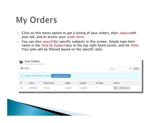# My Orders

- $\blacktriangleright$ Click on this menu option to get a listing of your orders, their *status* with your lab, and to access your *order form*.
- ▶ You can also *search* for specific subjects in this screen. Simply type their name in the *Find by Subject* box in the top right hand corner, and hit *Enter*. Your jobs will be filtered based on the specific data.

|                                                                                       | Q<br>Reset |  |  |  |  |  |  |
|---------------------------------------------------------------------------------------|------------|--|--|--|--|--|--|
| i.<br>1 project order matched your search.<br>Include all orders instead              |            |  |  |  |  |  |  |
| ID<br>Project Name<br>Packages<br>Subjects<br>Actions<br><b>Status</b><br>Images      |            |  |  |  |  |  |  |
| 185<br>5<br>Ħ<br><b>Submitted</b><br>Order Form<br>Test Job<br>4 subjects<br>4 images |            |  |  |  |  |  |  |